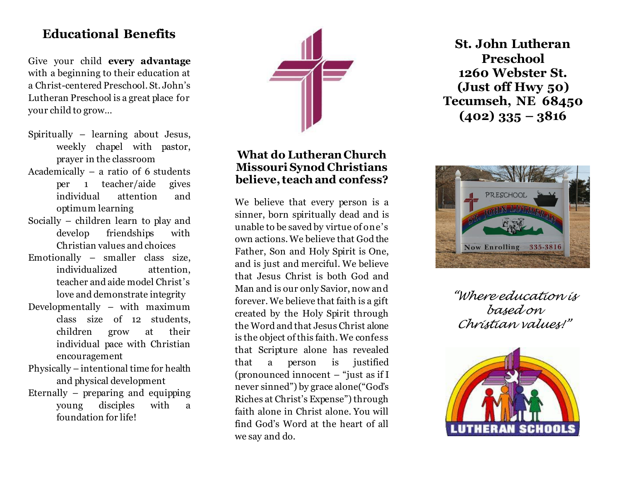# **Educational Benefits**

Give your child **every advantage** with a beginning to their education at a Christ-centered Preschool. St. John's Lutheran Preschool is a great place for your child to grow…

- Spiritually learning about Jesus, weekly chapel with pastor, prayer in the classroom
- Academically a ratio of 6 students per 1 teacher/aide gives individual attention and optimum learning
- Socially children learn to play and develop friendships with Christian values and choices
- Emotionally smaller class size, individualized attention, teacher and aide model Christ's love and demonstrate integrity
- Developmentally with maximum class size of 12 students, children grow at their individual pace with Christian encouragement
- Physically intentional time for health and physical development
- Eternally preparing and equipping young disciples with a foundation for life!



### **What do Lutheran Church Missouri Synod Christians believe, teach and confess?**

We believe that every person is a sinner, born spiritually dead and is unable to be saved by virtue of one's own actions. We believe that God the Father, Son and Holy Spirit is One, and is just and merciful. We believe that Jesus Christ is both God and Man and is our only Savior, now and forever. We believe that faith is a gift created by the Holy Spirit through the Word and that Jesus Christ alone is the object of this faith. We confess that Scripture alone has revealed that a person is justified (pronounced innocent – "just as if I never sinned") by grace alone("God's Riches at Christ's Expense") through faith alone in Christ alone. You will find God's Word at the heart of all we say and do.

**St. John Lutheran Preschool 1260 Webster St. (Just off Hwy 50) Tecumseh, NE 68450 (402) 335 – 3816**



*"Where education is based on Christian values!"*